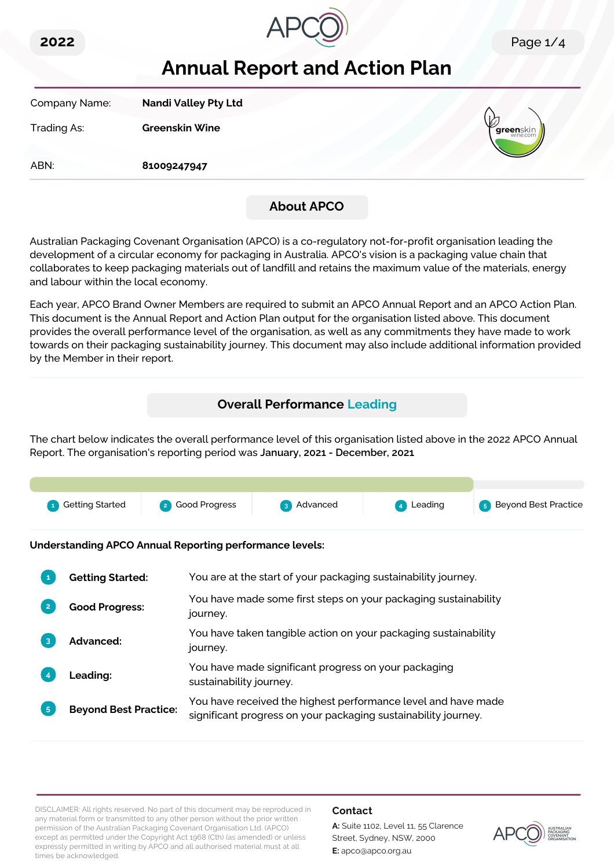



# **Annual Report and Action Plan**

| Company Name: | <b>Nandi Valley Pty Ltd</b> |                    |
|---------------|-----------------------------|--------------------|
| Trading As:   | <b>Greenskin Wine</b>       | <b>V</b> greenskin |
| ABN:          | 81009247947                 |                    |
|               |                             |                    |

## **About APCO**

Australian Packaging Covenant Organisation (APCO) is a co-regulatory not-for-profit organisation leading the development of a circular economy for packaging in Australia. APCO's vision is a packaging value chain that collaborates to keep packaging materials out of landfill and retains the maximum value of the materials, energy and labour within the local economy.

Each year, APCO Brand Owner Members are required to submit an APCO Annual Report and an APCO Action Plan. This document is the Annual Report and Action Plan output for the organisation listed above. This document provides the overall performance level of the organisation, as well as any commitments they have made to work towards on their packaging sustainability journey. This document may also include additional information provided by the Member in their report.

# **Overall Performance Leading**

The chart below indicates the overall performance level of this organisation listed above in the 2022 APCO Annual Report. The organisation's reporting period was **January, 2021 - December, 2021**.



**Understanding APCO Annual Reporting performance levels:**

|    | <b>Getting Started:</b>      | You are at the start of your packaging sustainability journey.                                                                  |
|----|------------------------------|---------------------------------------------------------------------------------------------------------------------------------|
|    | <b>Good Progress:</b>        | You have made some first steps on your packaging sustainability<br>journey.                                                     |
| 3  | Advanced:                    | You have taken tangible action on your packaging sustainability<br>journey.                                                     |
|    | <b>Leading:</b>              | You have made significant progress on your packaging<br>sustainability journey.                                                 |
| 5. | <b>Beyond Best Practice:</b> | You have received the highest performance level and have made<br>significant progress on your packaging sustainability journey. |

DISCLAIMER: All rights reserved. No part of this document may be reproduced in any material form or transmitted to any other person without the prior written permission of the Australian Packaging Covenant Organisation Ltd. (APCO) except as permitted under the Copyright Act 1968 (Cth) (as amended) or unless expressly permitted in writing by APCO and all authorised material must at all times be acknowledged.

#### **Contact**

**A:** Suite 1102, Level 11, 55 Clarence Street, Sydney, NSW, 2000 **E:** apco@apco.org.au

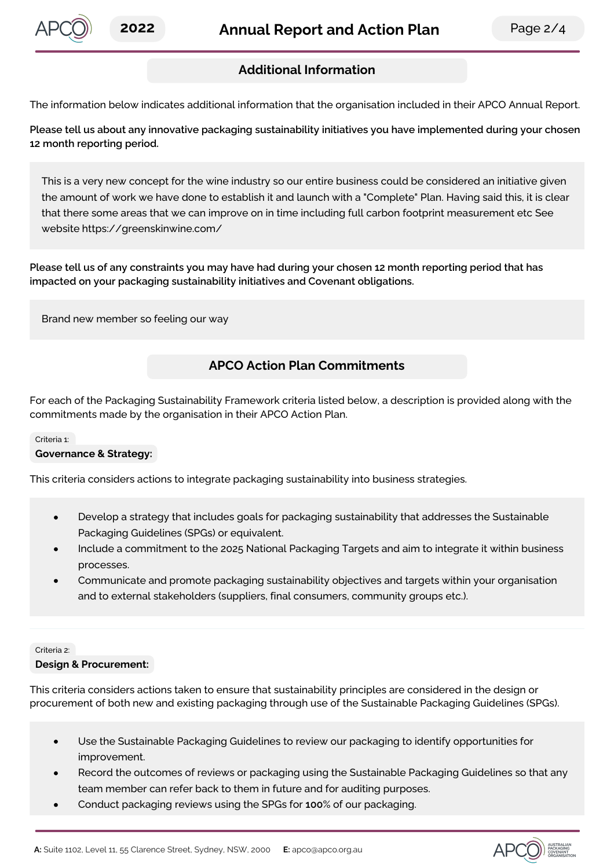

## **Additional Information**

The information below indicates additional information that the organisation included in their APCO Annual Report.

**Please tell us about any innovative packaging sustainability initiatives you have implemented during your chosen 12 month reporting period.**

This is a very new concept for the wine industry so our entire business could be considered an initiative given the amount of work we have done to establish it and launch with a "Complete" Plan. Having said this, it is clear that there some areas that we can improve on in time including full carbon footprint measurement etc See website https://greenskinwine.com/

Please tell us of any constraints you may have had during your chosen 12 month reporting period that has **impacted on your packaging sustainability initiatives and Covenant obligations.**

Brand new member so feeling our way

## **APCO Action Plan Commitments**

For each of the Packaging Sustainability Framework criteria listed below, a description is provided along with the commitments made by the organisation in their APCO Action Plan.

#### Criteria 1:

#### **Governance & Strategy:**

This criteria considers actions to integrate packaging sustainability into business strategies.

- $\bullet$ Develop a strategy that includes goals for packaging sustainability that addresses the Sustainable Packaging Guidelines (SPGs) or equivalent.
- Include a commitment to the 2025 National Packaging Targets and aim to integrate it within business processes.
- Communicate and promote packaging sustainability objectives and targets within your organisation and to external stakeholders (suppliers, final consumers, community groups etc.).

#### Criteria 2:

#### **Design & Procurement:**

This criteria considers actions taken to ensure that sustainability principles are considered in the design or procurement of both new and existing packaging through use of the Sustainable Packaging Guidelines (SPGs).

- Use the Sustainable Packaging Guidelines to review our packaging to identify opportunities for improvement.
- Record the outcomes of reviews or packaging using the Sustainable Packaging Guidelines so that any team member can refer back to them in future and for auditing purposes.
- Conduct packaging reviews using the SPGs for **100**% of our packaging.  $\bullet$

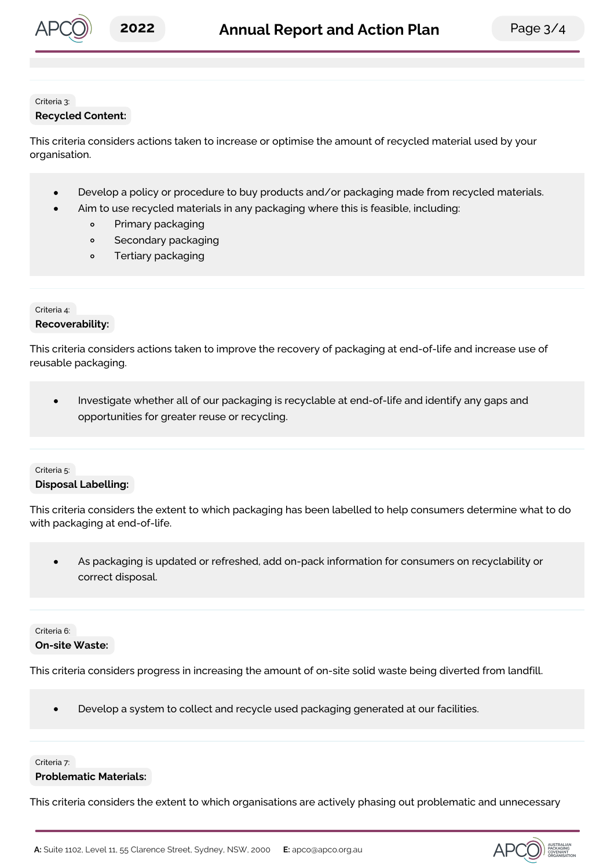

#### Criteria 3: **Recycled Content:**

This criteria considers actions taken to increase or optimise the amount of recycled material used by your organisation.

- Develop a policy or procedure to buy products and/or packaging made from recycled materials.  $\bullet$
- Aim to use recycled materials in any packaging where this is feasible, including:
	- $\circ$ Primary packaging
	- Secondary packaging  $\circ$
	- Tertiary packaging  $\circ$

#### Criteria 4:

## **Recoverability:**

This criteria considers actions taken to improve the recovery of packaging at end-of-life and increase use of reusable packaging.

Investigate whether all of our packaging is recyclable at end-of-life and identify any gaps and  $\bullet$ opportunities for greater reuse or recycling.

## Criteria 5:

#### **Disposal Labelling:**

This criteria considers the extent to which packaging has been labelled to help consumers determine what to do with packaging at end-of-life.

As packaging is updated or refreshed, add on-pack information for consumers on recyclability or  $\bullet$ correct disposal.

#### Criteria 6:

#### **On-site Waste:**

This criteria considers progress in increasing the amount of on-site solid waste being diverted from landfill.

 $\bullet$ Develop a system to collect and recycle used packaging generated at our facilities.

#### Criteria 7:

#### **Problematic Materials:**

This criteria considers the extent to which organisations are actively phasing out problematic and unnecessary